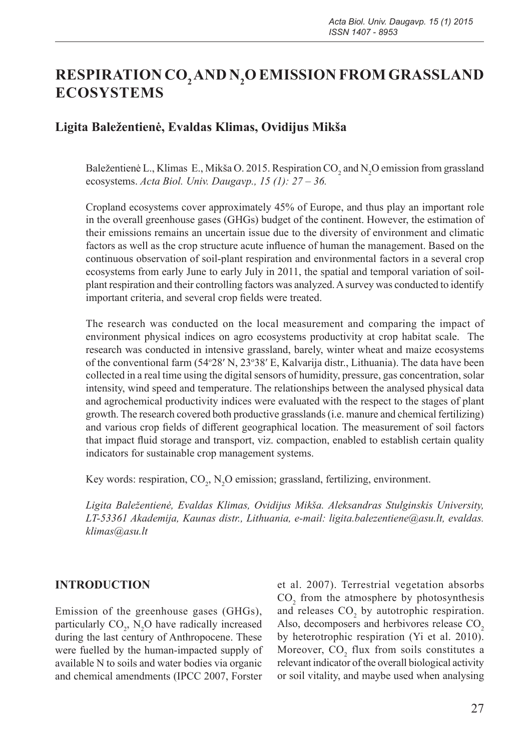# **RESPIRATION CO2 AND N2 O EMISSION FROM GRASSLAND ECOSYSTEMS**

# **Ligita Baležentienė, Evaldas Klimas, Ovidijus Mikša**

Baležentienė L., Klimas E., Mikša O. 2015. Respiration CO<sub>2</sub> and N<sub>2</sub>O emission from grassland ecosystems. *Acta Biol. Univ. Daugavp., 15 (1): 27 – 36.*

Cropland ecosystems cover approximately 45% of Europe, and thus play an important role in the overall greenhouse gases (GHGs) budget of the continent. However, the estimation of their emissions remains an uncertain issue due to the diversity of environment and climatic factors as well as the crop structure acute influence of human the management. Based on the continuous observation of soil-plant respiration and environmental factors in a several crop ecosystems from early June to early July in 2011, the spatial and temporal variation of soilplant respiration and their controlling factors was analyzed. A survey was conducted to identify important criteria, and several crop fields were treated.

The research was conducted on the local measurement and comparing the impact of environment physical indices on agro ecosystems productivity at crop habitat scale. The research was conducted in intensive grassland, barely, winter wheat and maize ecosystems of the conventional farm (54°28′ N, 23°38′ E, Kalvarija distr., Lithuania). The data have been collected in a real time using the digital sensors of humidity, pressure, gas concentration, solar intensity, wind speed and temperature. The relationships between the analysed physical data and agrochemical productivity indices were evaluated with the respect to the stages of plant growth. The research covered both productive grasslands (i.e. manure and chemical fertilizing) and various crop fields of different geographical location. The measurement of soil factors that impact fluid storage and transport, viz. compaction, enabled to establish certain quality indicators for sustainable crop management systems.

Key words: respiration,  $CO_2$ , N<sub>2</sub>O emission; grassland, fertilizing, environment.

*Ligita Baležentienė, Evaldas Klimas, Ovidijus Mikša. Aleksandras Stulginskis University, LT-53361 Akademija, Kaunas distr., Lithuania, e-mail: ligita.balezentiene@asu.lt, evaldas. klimas@asu.lt*

#### **INTRODUCTION**

Emission of the greenhouse gases (GHGs), particularly  $CO_2$ , N<sub>2</sub>O have radically increased during the last century of Anthropocene. These were fuelled by the human-impacted supply of available N to soils and water bodies via organic and chemical amendments (IPCC 2007, Forster

et al. 2007). Terrestrial vegetation absorbs  $CO<sub>2</sub>$  from the atmosphere by photosynthesis and releases  $CO<sub>2</sub>$  by autotrophic respiration. Also, decomposers and herbivores release CO<sub>2</sub> by heterotrophic respiration (Yi et al. 2010). Moreover, CO<sub>2</sub> flux from soils constitutes a relevant indicator of the overall biological activity or soil vitality, and maybe used when analysing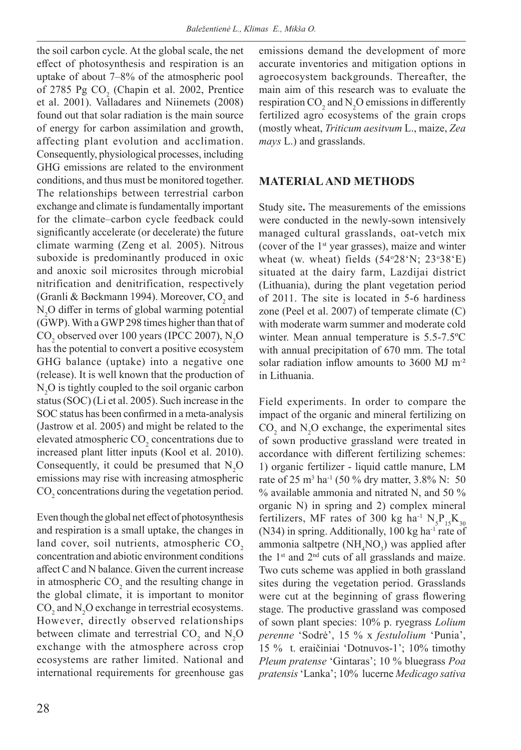the soil carbon cycle. At the global scale, the net effect of photosynthesis and respiration is an uptake of about 7–8% of the atmospheric pool of 2785 Pg  $CO<sub>2</sub>$  (Chapin et al. 2002, Prentice et al. 2001). Valladares and Niinemets (2008) found out that solar radiation is the main source of energy for carbon assimilation and growth, affecting plant evolution and acclimation. Consequently, physiological processes, including GHG emissions are related to the environment conditions, and thus must be monitored together. The relationships between terrestrial carbon exchange and climate is fundamentally important for the climate–carbon cycle feedback could significantly accelerate (or decelerate) the future climate warming (Zeng et al*.* 2005). Nitrous suboxide is predominantly produced in oxic and anoxic soil microsites through microbial nitrification and denitrification, respectively (Granli & Bøckmann 1994). Moreover,  $\mathrm{CO}_2$  and N<sub>2</sub>O differ in terms of global warming potential (GWP). With a GWP 298 times higher than that of  $CO<sub>2</sub>$  observed over 100 years (IPCC 2007), N<sub>2</sub>O has the potential to convert a positive ecosystem GHG balance (uptake) into a negative one (release). It is well known that the production of  $N_2$ O is tightly coupled to the soil organic carbon status (SOC) (Li et al. 2005). Such increase in the SOC status has been confirmed in a meta-analysis (Jastrow et al. 2005) and might be related to the elevated atmospheric  $\text{CO}_2$  concentrations due to increased plant litter inputs (Kool et al. 2010). Consequently, it could be presumed that  $N_2O$ emissions may rise with increasing atmospheric  $\text{CO}_2$  concentrations during the vegetation period.

Even though the global net effect of photosynthesis and respiration is a small uptake, the changes in land cover, soil nutrients, atmospheric CO<sub>2</sub> concentration and abiotic environment conditions affect C and N balance. Given the current increase in atmospheric  $CO<sub>2</sub>$  and the resulting change in the global climate, it is important to monitor  $CO<sub>2</sub>$  and N<sub>2</sub>O exchange in terrestrial ecosystems. However, directly observed relationships between climate and terrestrial  $CO_2$  and  $N_2O$ exchange with the atmosphere across crop ecosystems are rather limited. National and international requirements for greenhouse gas

emissions demand the development of more accurate inventories and mitigation options in agroecosystem backgrounds. Thereafter, the main aim of this research was to evaluate the respiration  $CO_2$  and  $N_2O$  emissions in differently fertilized agro ecosystems of the grain crops (mostly wheat, *Triticum aesitvum* L., maize, *Zea mays* L.) and grasslands.

## **MATERIAL AND METHODS**

Study site**.** The measurements of the emissions were conducted in the newly-sown intensively managed cultural grasslands, oat-vetch mix (cover of the 1st year grasses), maize and winter wheat (w. wheat) fields  $(54°28'N; 23°38'E)$ situated at the dairy farm, Lazdijai district (Lithuania), during the plant vegetation period of 2011. The site is located in 5-6 hardiness zone (Peel et al. 2007) of temperate climate (C) with moderate warm summer and moderate cold winter. Mean annual temperature is 5.5-7.5ºC with annual precipitation of 670 mm. The total solar radiation inflow amounts to 3600 MJ m<sup>-2</sup> in Lithuania.

Field experiments. In order to compare the impact of the organic and mineral fertilizing on  $CO<sub>2</sub>$  and N<sub>2</sub>O exchange, the experimental sites of sown productive grassland were treated in accordance with different fertilizing schemes: 1) organic fertilizer - liquid cattle manure, LM rate of 25 m<sup>3</sup> ha<sup>-1</sup> (50 % dry matter, 3.8% N: 50 % available ammonia and nitrated N, and 50 % organic N) in spring and 2) complex mineral fertilizers, MF rates of 300 kg ha $^1$   $\text{N}_{5}\text{P}_{15}\text{K}_{30}$  $(N34)$  in spring. Additionally, 100 kg ha<sup>-1</sup> rate of ammonia saltpetre (NH<sub>4</sub>NO<sub>3</sub>) was applied after the  $1<sup>st</sup>$  and  $2<sup>nd</sup>$  cuts of all grasslands and maize. Two cuts scheme was applied in both grassland sites during the vegetation period. Grasslands were cut at the beginning of grass flowering stage. The productive grassland was composed of sown plant species: 10% p. ryegrass *Lolium perenne* 'Sodrė', 15 % x *festulolium* 'Punia', 15 % t. eraičiniai 'Dotnuvos-1'; 10% timothy *Pleum pratense* 'Gintaras'; 10 % bluegrass *Poa pratensis* 'Lanka'; 10% lucerne *Medicago sativa*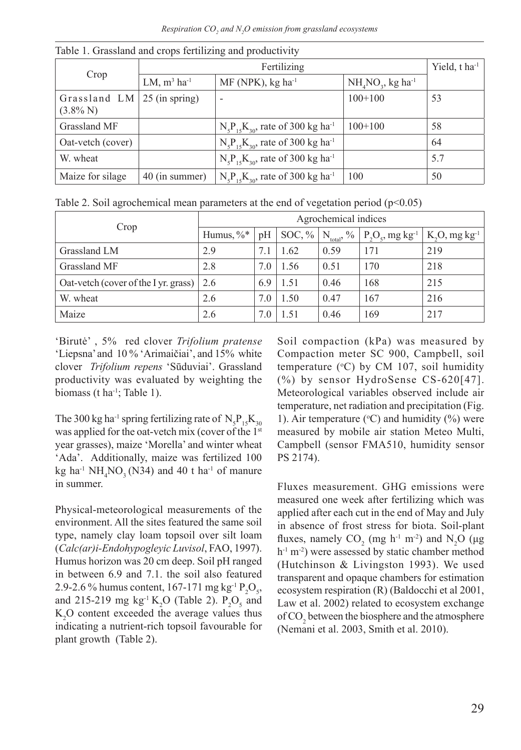| Crop                                               |                            | Yield, t ha <sup>-1</sup>                             |                                |     |
|----------------------------------------------------|----------------------------|-------------------------------------------------------|--------------------------------|-----|
|                                                    | LM, $m^3$ ha <sup>-1</sup> | $MF(NPK)$ , kg ha <sup>-1</sup>                       | $NH4NO3$ , kg ha <sup>-1</sup> |     |
| Grassland LM $\vert$ 25 (in spring)<br>$(3.8\% N)$ |                            |                                                       | $100+100$                      | 53  |
| Grassland MF                                       |                            | $N_{5}P_{15}K_{30}$ , rate of 300 kg ha <sup>-1</sup> | $100+100$                      | 58  |
| Oat-vetch (cover)                                  |                            | $N_s P_{1s} K_{30}$ , rate of 300 kg ha <sup>-1</sup> |                                | 64  |
| W. wheat                                           |                            | $N_s P_{1s} K_{30}$ , rate of 300 kg ha <sup>-1</sup> |                                | 5.7 |
| Maize for silage                                   | 40 (in summer)             | $N_{5}P_{15}K_{30}$ , rate of 300 kg ha <sup>-1</sup> | 100                            | 50  |

Table 1. Grassland and crops fertilizing and productivity

Table 2. Soil agrochemical mean parameters at the end of vegetation period ( $p<0.05$ )

|                                            | Agrochemical indices |     |           |                 |                                |                              |
|--------------------------------------------|----------------------|-----|-----------|-----------------|--------------------------------|------------------------------|
| Crop                                       | Humus, $\%^*$        | pH  | $SOC, \%$ | $N_{total}$ , % | $P_2O_5$ , mg kg <sup>-1</sup> | $K_2O$ , mg kg <sup>-1</sup> |
| Grassland LM                               | 2.9                  | 7.1 | 1.62      | 0.59            | 171                            | 219                          |
| Grassland MF                               | 2.8                  | 7.0 | 1.56      | 0.51            | 170                            | 218                          |
| Oat-vetch (cover of the I yr. grass)   2.6 |                      | 6.9 | 1.51      | 0.46            | 168                            | 215                          |
| W. wheat                                   | 2.6                  | 7.0 | 1.50      | 0.47            | 167                            | 216                          |
| Maize                                      | 2.6                  | 7.0 | 1.51      | 0.46            | 169                            | 217                          |

'Birutė' , 5% red clover *Trifolium pratense* 'Liepsna' and 10 % 'Arimaičiai', and 15% white clover *Trifolium repens* 'Sūduviai'. Grassland productivity was evaluated by weighting the biomass (t ha<sup>-1</sup>; Table 1).

The 300 kg ha<sup>-1</sup> spring fertilizing rate of  $\text{N}_{5}\text{P}_{15}\text{K}_{30}$ was applied for the oat-vetch mix (cover of the 1st year grasses), maize 'Morella' and winter wheat 'Ada'. Additionally, maize was fertilized 100 kg ha<sup>-1</sup> NH<sub>4</sub>NO<sub>3</sub> (N34) and 40 t ha<sup>-1</sup> of manure in summer.

Physical-meteorological measurements of the environment. All the sites featured the same soil type, namely clay loam topsoil over silt loam (*Calc(ar)i-Endohypogleyic Luvisol*, FAO, 1997). Humus horizon was 20 cm deep. Soil pH ranged in between 6.9 and 7.1. the soil also featured 2.9-2.6 % humus content, 167-171 mg kg<sup>-1</sup> P<sub>2</sub>O<sub>5</sub>, and 215-219 mg  $kg^{-1} K_2O$  (Table 2).  $P_2O_5$  and  $K_2$ O content exceeded the average values thus indicating a nutrient-rich topsoil favourable for plant growth (Table 2).

Soil compaction (kPa) was measured by Compaction meter SC 900, Campbell, soil temperature  $({}^{\circ}C)$  by CM 107, soil humidity (%) by sensor HydroSense CS-620[47]. Meteorological variables observed include air temperature, net radiation and precipitation (Fig. 1). Air temperature ( $\rm ^{o}C$ ) and humidity (%) were measured by mobile air station Meteo Multi, Campbell (sensor FMA510, humidity sensor PS 2174).

Fluxes measurement. GHG emissions were measured one week after fertilizing which was applied after each cut in the end of May and July in absence of frost stress for biota. Soil-plant fluxes, namely  $CO_2$  (mg h<sup>-1</sup> m<sup>-2</sup>) and N<sub>2</sub>O (µg  $h^{-1}$  m<sup>-2</sup>) were assessed by static chamber method (Hutchinson & Livingston 1993). We used transparent and opaque chambers for estimation ecosystem respiration (R) (Baldocchi et al 2001, Law et al. 2002) related to ecosystem exchange of  $\mathrm{CO}_2$  between the biosphere and the atmosphere (Nemani et al. 2003, Smith et al. 2010).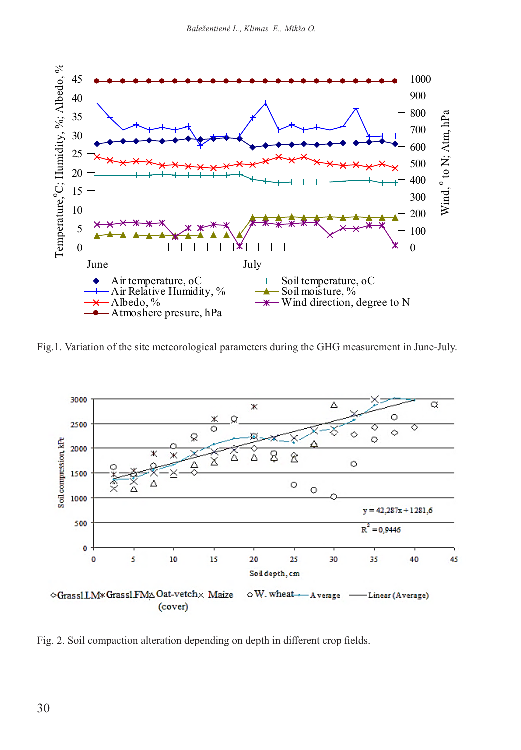

Fig.1. Variation of the site meteorological parameters during the GHG measurement in June-July.



Fig. 2. Soil compaction alteration depending on depth in different crop fields.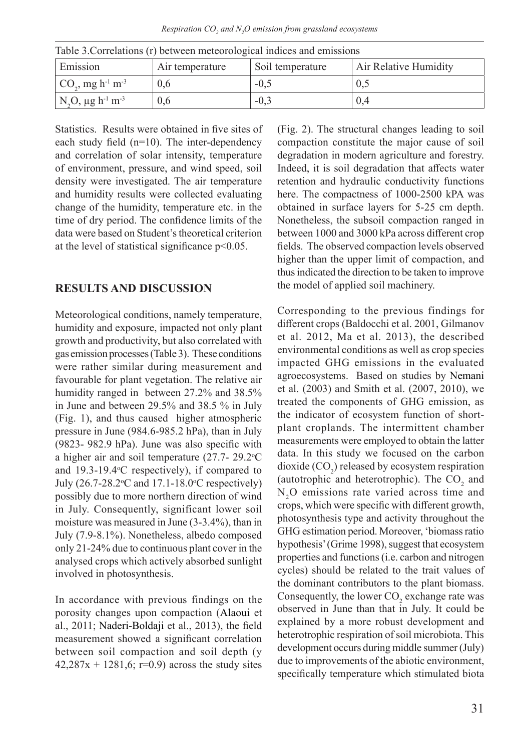*Respiration CO<sup>2</sup> and N<sup>2</sup> O emission from grassland ecosystems*

| Emission                                                  | Table 3. Correlations (1) between includibilities and consistents<br>Air Relative Humidity<br>Soil temperature<br>Air temperature |        |       |  |  |  |
|-----------------------------------------------------------|-----------------------------------------------------------------------------------------------------------------------------------|--------|-------|--|--|--|
| $CO_3$ , mg h <sup>-1</sup> m <sup>-3</sup>               | 0.6                                                                                                                               | $-0.5$ | U.S   |  |  |  |
| N <sub>2</sub> O, $\mu$ g h <sup>-1</sup> m <sup>-3</sup> | 0.6                                                                                                                               | $-0.3$ | (0.4) |  |  |  |

Table 3.Correlations (r) between meteorological indices and emissions

Statistics. Results were obtained in five sites of each study field (n=10). The inter-dependency and correlation of solar intensity, temperature of environment, pressure, and wind speed, soil density were investigated. The air temperature and humidity results were collected evaluating change of the humidity, temperature etc. in the time of dry period. The confidence limits of the data were based on Student's theoretical criterion at the level of statistical significance p<0.05.

### **RESULTS AND DISCUSSION**

Meteorological conditions, namely temperature, humidity and exposure, impacted not only plant growth and productivity, but also correlated with gas emission processes (Table 3). These conditions were rather similar during measurement and favourable for plant vegetation. The relative air humidity ranged in between 27.2% and 38.5% in June and between 29.5% and 38.5 % in July (Fig. 1), and thus caused higher atmospheric pressure in June (984.6-985.2 hPa), than in July (9823- 982.9 hPa). June was also specific with a higher air and soil temperature  $(27.7-29.2^{\circ}C)$ and 19.3-19.4°C respectively), if compared to July (26.7-28.2°C and 17.1-18.0°C respectively) possibly due to more northern direction of wind in July. Consequently, significant lower soil moisture was measured in June (3-3.4%), than in July (7.9-8.1%). Nonetheless, albedo composed only 21-24% due to continuous plant cover in the analysed crops which actively absorbed sunlight involved in photosynthesis.

In accordance with previous findings on the porosity changes upon compaction (Alaoui et al., 2011; Naderi-Boldaji et al., 2013), the field measurement showed a significant correlation between soil compaction and soil depth (y  $42,287x + 1281,6$ ; r=0.9) across the study sites

(Fig. 2). The structural changes leading to soil compaction constitute the major cause of soil degradation in modern agriculture and forestry. Indeed, it is soil degradation that affects water retention and hydraulic conductivity functions here. The compactness of 1000-2500 kPA was obtained in surface layers for 5-25 cm depth. Nonetheless, the subsoil compaction ranged in between 1000 and 3000 kPa across different crop fields. The observed compaction levels observed higher than the upper limit of compaction, and thus indicated the direction to be taken to improve the model of applied soil machinery.

Corresponding to the previous findings for different crops (Baldocchi et al. 2001, Gilmanov et al. 2012, Ma et al. 2013), the described environmental conditions as well as crop species impacted GHG emissions in the evaluated agroecosystems. Based on studies by Nemani et al. (2003) and Smith et al. (2007, 2010), we treated the components of GHG emission, as the indicator of ecosystem function of shortplant croplands. The intermittent chamber measurements were employed to obtain the latter data. In this study we focused on the carbon dioxide  $({\rm CO}_2)$  released by ecosystem respiration (autotrophic and heterotrophic). The  $CO_2$  and  $N<sub>2</sub>O$  emissions rate varied across time and crops, which were specific with different growth, photosynthesis type and activity throughout the GHG estimation period. Moreover, 'biomass ratio hypothesis' (Grime 1998), suggest that ecosystem properties and functions (i.e. carbon and nitrogen cycles) should be related to the trait values of the dominant contributors to the plant biomass. Consequently, the lower  $CO_2$  exchange rate was observed in June than that in July. It could be explained by a more robust development and heterotrophic respiration of soil microbiota. This development occurs during middle summer (July) due to improvements of the abiotic environment, specifically temperature which stimulated biota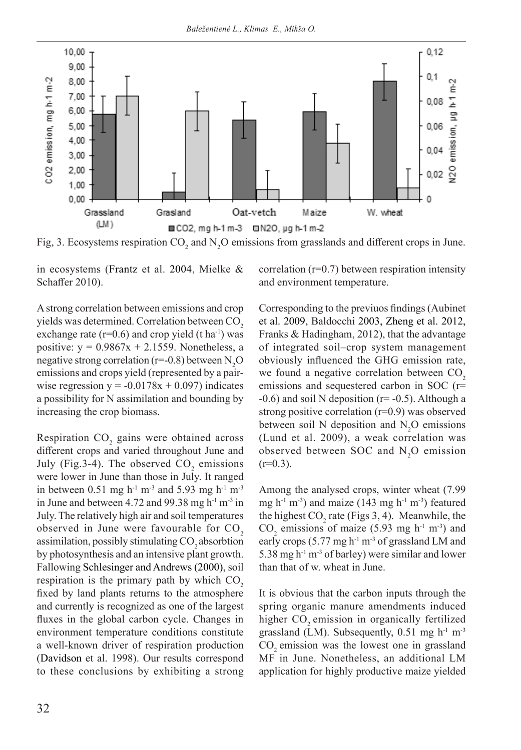

Fig, 3. Ecosystems respiration  $CO_2$  and  $N_2O$  emissions from grasslands and different crops in June.

in ecosystems (Frantz et al. 2004, Mielke & Schaffer 2010).

A strong correlation between emissions and crop yields was determined. Correlation between CO<sub>2</sub> exchange rate  $(r=0.6)$  and crop yield  $(t \text{ ha}^{-1})$  was positive:  $y = 0.9867x + 2.1559$ . Nonetheless, a negative strong correlation (r=-0.8) between  $\text{N}_2\text{O}$ emissions and crops yield (represented by a pairwise regression  $y = -0.0178x + 0.097$ ) indicates a possibility for N assimilation and bounding by increasing the crop biomass.

Respiration  $CO<sub>2</sub>$  gains were obtained across different crops and varied throughout June and July (Fig.3-4). The observed  $CO_2$  emissions were lower in June than those in July. It ranged in between 0.51 mg h<sup>-1</sup> m<sup>-3</sup> and 5.93 mg h<sup>-1</sup> m<sup>-3</sup> in June and between 4.72 and 99.38 mg  $h^{-1}$  m<sup>-3</sup> in July. The relatively high air and soil temperatures observed in June were favourable for  $CO<sub>2</sub>$ assimilation, possibly stimulating  $CO$ , absorbtion by photosynthesis and an intensive plant growth. Fallowing Schlesinger and Andrews (2000), soil respiration is the primary path by which  $CO<sub>2</sub>$ fixed by land plants returns to the atmosphere and currently is recognized as one of the largest fluxes in the global carbon cycle. Changes in environment temperature conditions constitute a well-known driver of respiration production (Davidson et al. 1998). Our results correspond to these conclusions by exhibiting a strong

correlation (r=0.7) between respiration intensity and environment temperature.

Corresponding to the previuos findings (Aubinet et al. 2009, Baldocchi 2003, Zheng et al. 2012, Franks & Hadingham, 2012), that the advantage of integrated soil–crop system management obviously influenced the GHG emission rate, we found a negative correlation between  $CO<sub>2</sub>$ emissions and sequestered carbon in SOC (r=  $-0.6$ ) and soil N deposition ( $r=0.5$ ). Although a strong positive correlation (r=0.9) was observed between soil N deposition and  $N_2O$  emissions (Lund et al. 2009), a weak correlation was observed between SOC and  $N_2O$  emission  $(r=0.3)$ .

Among the analysed crops, winter wheat (7.99 mg h<sup>-1</sup> m<sup>-3</sup>) and maize (143 mg h<sup>-1</sup> m<sup>-3</sup>) featured the highest  $CO_2$  rate (Figs 3, 4). Meanwhile, the  $CO_2$  emissions of maize (5.93 mg h<sup>-1</sup> m<sup>-3</sup>) and early crops  $(5.77 \text{ mg h}^{-1} \text{ m}^{-3} \text{ of grassland LM and})$ 5.38 mg  $h^{-1}$  m<sup>-3</sup> of barley) were similar and lower than that of w. wheat in June.

It is obvious that the carbon inputs through the spring organic manure amendments induced higher CO<sub>2</sub> emission in organically fertilized grassland (LM). Subsequently,  $0.51 \text{ mg h}^{-1} \text{ m}^{-3}$ CO<sub>2</sub> emission was the lowest one in grassland MF in June. Nonetheless, an additional LM application for highly productive maize yielded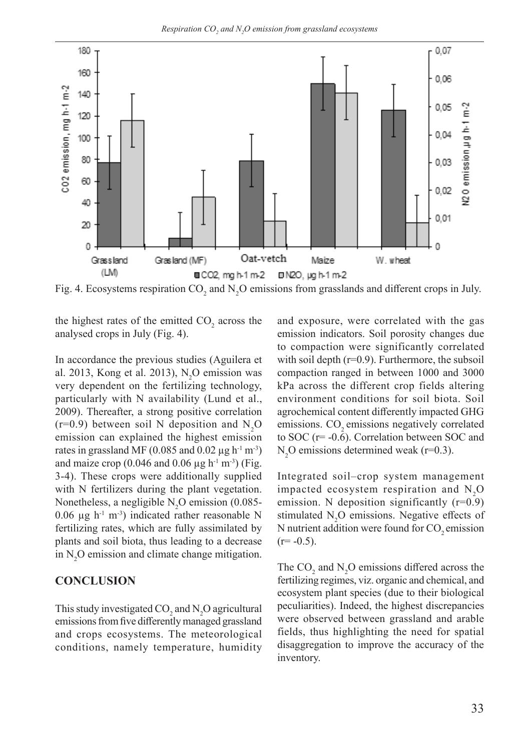

Fig. 4. Ecosystems respiration CO<sub>2</sub> and N<sub>2</sub>O emissions from grasslands and different crops in July.

the highest rates of the emitted  $CO_2$  across the analysed crops in July (Fig. 4).

In accordance the previous studies (Aguilera et al. 2013, Kong et al. 2013),  $N_2O$  emission was very dependent on the fertilizing technology, particularly with N availability (Lund et al., 2009). Thereafter, a strong positive correlation  $(r=0.9)$  between soil N deposition and N<sub>2</sub>O emission can explained the highest emission rates in grassland MF (0.085 and 0.02  $\mu$ g h<sup>-1</sup> m<sup>-3</sup>) and maize crop (0.046 and 0.06  $\mu$ g h<sup>-1</sup> m<sup>-3</sup>) (Fig. 3-4). These crops were additionally supplied with N fertilizers during the plant vegetation. Nonetheless, a negligible  $N_2O$  emission (0.085-0.06  $\mu$ g h<sup>-1</sup> m<sup>-3</sup>) indicated rather reasonable N fertilizing rates, which are fully assimilated by plants and soil biota, thus leading to a decrease in  $N_2$ O emission and climate change mitigation.

#### **CONCLUSION**

This study investigated  $CO_2$  and  $N_2O$  agricultural emissions from five differently managed grassland and crops ecosystems. The meteorological conditions, namely temperature, humidity

and exposure, were correlated with the gas emission indicators. Soil porosity changes due to compaction were significantly correlated with soil depth  $(r=0.9)$ . Furthermore, the subsoil compaction ranged in between 1000 and 3000 kPa across the different crop fields altering environment conditions for soil biota. Soil agrochemical content differently impacted GHG emissions. CO<sub>2</sub> emissions negatively correlated to SOC  $(r=-0.6)$ . Correlation between SOC and  $N_2$ O emissions determined weak (r=0.3).

Integrated soil–crop system management impacted ecosystem respiration and  $N_2O$ emission. N deposition significantly  $(r=0.9)$ stimulated  $N_2O$  emissions. Negative effects of N nutrient addition were found for CO<sub>2</sub> emission  $(r=-0.5)$ .

The  $CO_2$  and  $N_2O$  emissions differed across the fertilizing regimes, viz. organic and chemical, and ecosystem plant species (due to their biological peculiarities). Indeed, the highest discrepancies were observed between grassland and arable fields, thus highlighting the need for spatial disaggregation to improve the accuracy of the inventory.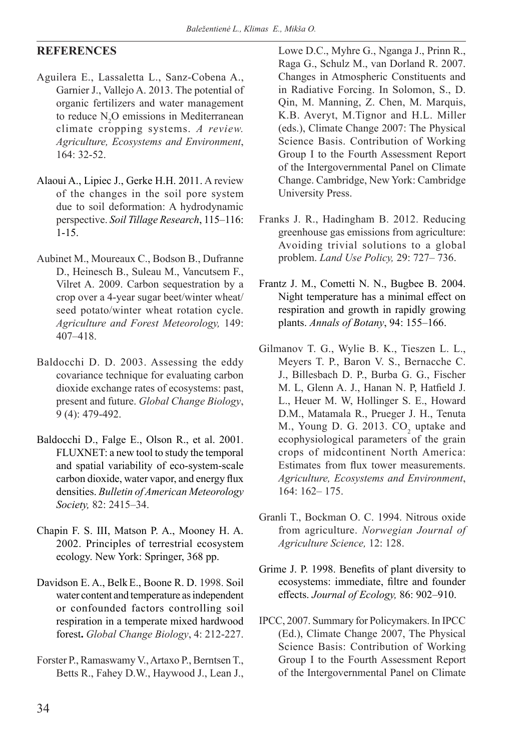## **REFERENCES**

- Aguilera E., Lassaletta L., Sanz-Cobena A., Garnier J., Vallejo A. 2013. The potential of organic fertilizers and water management to reduce  $N_2O$  emissions in Mediterranean climate cropping systems. *A review. Agriculture, Ecosystems and Environment*, 164: 32-52.
- Alaoui A., Lipiec J., Gerke H.H. 2011. A review of the changes in the soil pore system due to soil deformation: A hydrodynamic perspective. *Soil Tillage Research*, 115–116: 1-15.
- Aubinet M., Moureaux C., Bodson B., Dufranne D., Heinesch B., Suleau M., Vancutsem F., Vilret A. 2009. Carbon sequestration by a crop over a 4-year sugar beet/winter wheat/ seed potato/winter wheat rotation cycle. *Agriculture and Forest Meteorology,* 149: 407–418.
- Baldocchi D. D. 2003. Assessing the eddy covariance technique for evaluating carbon dioxide exchange rates of ecosystems: past, present and future. *Global Change Biology*, 9 (4): 479-492.
- Baldocchi D., Falge E., Olson R., et al. 2001. FLUXNET: a new tool to study the temporal and spatial variability of eco-system-scale carbon dioxide, water vapor, and energy flux densities. *Bulletin of American Meteorology Society,* 82: 2415–34.
- Chapin F. S. III, Matson P. A., Mooney H. A. 2002. Principles of terrestrial ecosystem ecology. New York: Springer, 368 pp.
- Davidson E. A., BelkE., Boone R. D. 1998. Soil water content and temperature as independent or confounded factors controlling soil respiration in a temperate mixed hardwood forest**.** *Global Change Biology*, 4: 212-227.
- Forster P., Ramaswamy V., Artaxo P., Berntsen T., Betts R., Fahey D.W., Haywood J., Lean J.,

Lowe D.C., Myhre G., Nganga J., Prinn R., Raga G., Schulz M., van Dorland R. 2007. Changes in Atmospheric Constituents and in Radiative Forcing. In Solomon, S., D. Qin, M. Manning, Z. Chen, M. Marquis, K.B. Averyt, M.Tignor and H.L. Miller (eds.), Climate Change 2007: The Physical Science Basis. Contribution of Working Group I to the Fourth Assessment Report of the Intergovernmental Panel on Climate Change. Cambridge, New York: Cambridge University Press.

- Franks J. R., Hadingham B. 2012. Reducing greenhouse gas emissions from agriculture: Avoiding trivial solutions to a global problem. *Land Use Policy,* 29: 727– 736.
- Frantz J. M., Cometti N. N., Bugbee B. 2004. Night temperature has a minimal effect on respiration and growth in rapidly growing plants. *Annals of Botany*, 94: 155–166.
- Gilmanov T. G., Wylie B. K., Tieszen L. L., Meyers T. P., Baron V. S., Bernacche C. J., Billesbach D. P., Burba G. G., Fischer M. L, Glenn A. J., Hanan N. P, Hatfield J. L., Heuer M. W, Hollinger S. E., Howard D.M., Matamala R., Prueger J. H., Tenuta M., Young D. G. 2013.  $CO_2$  uptake and ecophysiological parameters of the grain crops of midcontinent North America: Estimates from flux tower measurements. *Agriculture, Ecosystems and Environment*, 164: 162– 175.
- Granli T., Bockman O. C. 1994. Nitrous oxide from agriculture. *Norwegian Journal of Agriculture Science,* 12: 128.
- Grime J. P. 1998. Benefits of plant diversity to ecosystems: immediate, filtre and founder effects. *Journal of Ecology,* 86: 902–910.
- IPCC, 2007. Summary for Policymakers. In IPCC (Ed.), Climate Change 2007, The Physical Science Basis: Contribution of Working Group I to the Fourth Assessment Report of the Intergovernmental Panel on Climate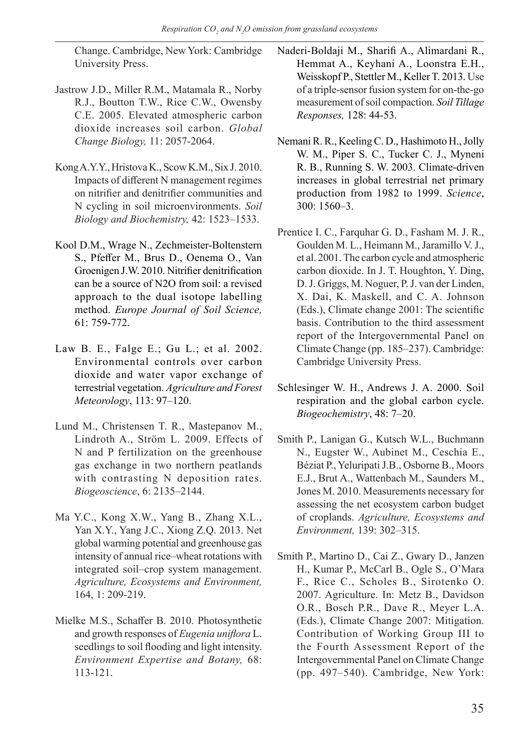Change. Cambridge, New York: Cambridge University Press.

- Jastrow J.D., Miller R.M., Matamala R., Norby R.J., Boutton T.W., Rice C.W., Owensby C.E. 2005. Elevated atmospheric carbon dioxide increases soil carbon. *Global Change Biology,* 11: 2057-2064.
- Kong A.Y.Y., Hristova K., Scow K.M., Six J. 2010. Impacts of different N management regimes on nitrifier and denitrifier communities and N cycling in soil microenvironments. *Soil Biology and Biochemistry,* 42: 1523–1533.
- Kool D.M., Wrage N., Zechmeister-Boltenstern S., Pfeffer M., Brus D., Oenema O., Van Groenigen J.W. 2010. Nitrifier denitrification can be a source of N2O from soil: a revised approach to the dual isotope labelling method. *Europe Journal of Soil Science,* 61: 759-772.
- Law B. E., Falge E.; Gu L.; et al. 2002. Environmental controls over carbon dioxide and water vapor exchange of terrestrial vegetation. *Agriculture and Forest Meteorology*, 113: 97–120.
- Lund M., Christensen T. R., Mastepanov M., Lindroth A., Ström L. 2009. Effects of N and P fertilization on the greenhouse gas exchange in two northern peatlands with contrasting N deposition rates. *Biogeoscience*, 6: 2135–2144.
- Ma Y.C., Kong X.W., Yang B., Zhang X.L., Yan X.Y., Yang J.C., Xiong Z.Q. 2013. Net global warming potential and greenhouse gas intensity of annual rice–wheat rotations with integrated soil–crop system management. *Agriculture, Ecosystems and Environment,* 164, 1: 209-219.
- Mielke M.S., Schaffer B. 2010. Photosynthetic and growth responses of *Eugenia uniflora* L. seedlings to soil flooding and light intensity. *Environment Expertise and Botany,* 68: 113-121.

Naderi-Boldaji M., Sharifi A., Alimardani R., Hemmat A., Keyhani A., Loonstra E.H., Weisskopf P., Stettler M., Keller T. 2013. Use of a triple-sensor fusion system for on-the-go measurement of soil compaction. *Soil Tillage Responses,* 128: 44-53.

- Nemani R. R., Keeling C. D., Hashimoto H., Jolly W. M., Piper S. C., Tucker C. J., Myneni R. B., Running S. W. 2003. Climate-driven increases in global terrestrial net primary production from 1982 to 1999. *Science*, 300: 1560–3.
- Prentice I. C., Farquhar G. D., Fasham M. J. R., Goulden M. L., Heimann M., Jaramillo V. J., et al. 2001. The carbon cycle and atmospheric carbon dioxide. In J. T. Houghton, Y. Ding, D. J. Griggs, M. Noguer, P. J. van der Linden, X. Dai, K. Maskell, and C. A. Johnson (Eds.), Climate change 2001: The scientific basis. Contribution to the third assessment report of the Intergovernmental Panel on Climate Change (pp. 185–237). Cambridge: Cambridge University Press.
- Schlesinger W. H., Andrews J. A. 2000. Soil respiration and the global carbon cycle. *Biogeochemistry*, 48: 7–20.
- Smith P., Lanigan G., Kutsch W.L., Buchmann N., Eugster W., Aubinet M., Ceschia E., Béziat P., Yeluripati J.B., Osborne B., Moors E.J., Brut A., Wattenbach M., Saunders M., Jones M. 2010. Measurements necessary for assessing the net ecosystem carbon budget of croplands. *Agriculture, Ecosystems and Environment,* 139: 302–315.
- Smith P., Martino D., Cai Z., Gwary D., Janzen H., Kumar P., McCarl B., Ogle S., O'Mara F., Rice C., Scholes B., Sirotenko O. 2007. Agriculture. In: Metz B., Davidson O.R., Bosch P.R., Dave R., Meyer L.A. (Eds.), Climate Change 2007: Mitigation. Contribution of Working Group III to the Fourth Assessment Report of the Intergovernmental Panel on Climate Change (pp. 497–540). Cambridge, New York: